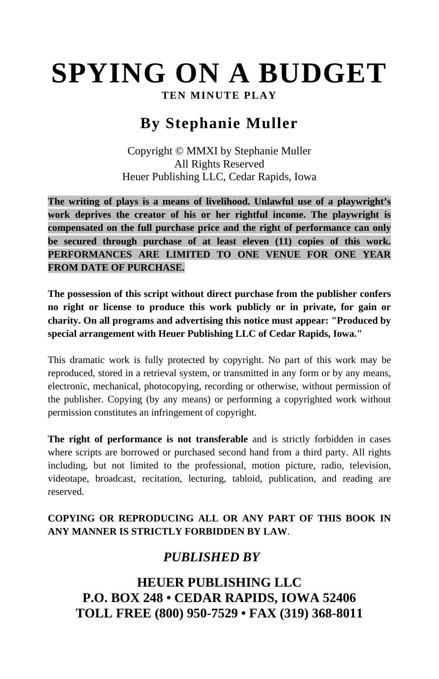# **SPYING ON A BUDGET**

**TEN MINUTE PLAY** 

## **By Stephanie Muller**

Copyright © MMXI by Stephanie Muller All Rights Reserved Heuer Publishing LLC, Cedar Rapids, Iowa

**The writing of plays is a means of livelihood. Unlawful use of a playwright's work deprives the creator of his or her rightful income. The playwright is compensated on the full purchase price and the right of performance can only be secured through purchase of at least eleven (11) copies of this work. PERFORMANCES ARE LIMITED TO ONE VENUE FOR ONE YEAR FROM DATE OF PURCHASE.** 

**The possession of this script without direct purchase from the publisher confers no right or license to produce this work publicly or in private, for gain or charity. On all programs and advertising this notice must appear: "Produced by special arrangement with Heuer Publishing LLC of Cedar Rapids, Iowa."** 

This dramatic work is fully protected by copyright. No part of this work may be reproduced, stored in a retrieval system, or transmitted in any form or by any means, electronic, mechanical, photocopying, recording or otherwise, without permission of the publisher. Copying (by any means) or performing a copyrighted work without permission constitutes an infringement of copyright.

**The right of performance is not transferable** and is strictly forbidden in cases where scripts are borrowed or purchased second hand from a third party. All rights including, but not limited to the professional, motion picture, radio, television, videotape, broadcast, recitation, lecturing, tabloid, publication, and reading are reserved.

#### **COPYING OR REPRODUCING ALL OR ANY PART OF THIS BOOK IN ANY MANNER IS STRICTLY FORBIDDEN BY LAW**.

## *PUBLISHED BY*

## **HEUER PUBLISHING LLC P.O. BOX 248 • CEDAR RAPIDS, IOWA 52406 TOLL FREE (800) 950-7529 • FAX (319) 368-8011**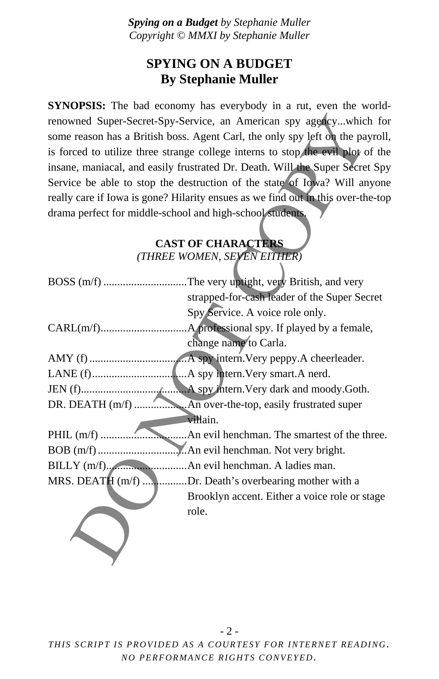### **SPYING ON A BUDGET By Stephanie Muller**

**SYNOPSIS:** The bad economy has everybody in a rut, even the worldrenowned Super-Secret-Spy-Service, an American spy agency...which for some reason has a British boss. Agent Carl, the only spy left on the payroll, is forced to utilize three strange college interns to stop the evil plot of the insane, maniacal, and easily frustrated Dr. Death. Will the Super Secret Spy Service be able to stop the destruction of the state of Iowa? Will anyone really care if Iowa is gone? Hilarity ensues as we find out in this over-the-top drama perfect for middle-school and high-school students.

#### **CAST OF CHARACTERS**  *(THREE WOMEN, SEVEN EITHER)*

| renowned Super-Secret-Spy-Service, an American spy agencywhich for               |
|----------------------------------------------------------------------------------|
| some reason has a British boss. Agent Carl, the only spy left on the payroll,    |
| is forced to utilize three strange college interns to stop the evil plot of the  |
| insane, maniacal, and easily frustrated Dr. Death. Will the Super Secret Spy     |
| Service be able to stop the destruction of the state of Iowa? Will anyone        |
| really care if Iowa is gone? Hilarity ensues as we find out in this over-the-top |
| drama perfect for middle-school and high-school students.                        |
| <b>CAST OF CHARACTERS</b>                                                        |
| (THREE WOMEN, SEVEN EITHER)                                                      |
| BOSS (m/f) The very uptight, very British, and very                              |
| strapped-for-cash leader of the Super Secret                                     |
| Spy Service. A voice role only.                                                  |
|                                                                                  |
|                                                                                  |
| change name to Carla.                                                            |
|                                                                                  |
|                                                                                  |
|                                                                                  |
|                                                                                  |
| villain.                                                                         |
|                                                                                  |
|                                                                                  |
|                                                                                  |
| MRS. DEATH (m/f) Dr. Death's overbearing mother with a                           |
| Brooklyn accent. Either a voice role or stage                                    |
| role.                                                                            |
|                                                                                  |
|                                                                                  |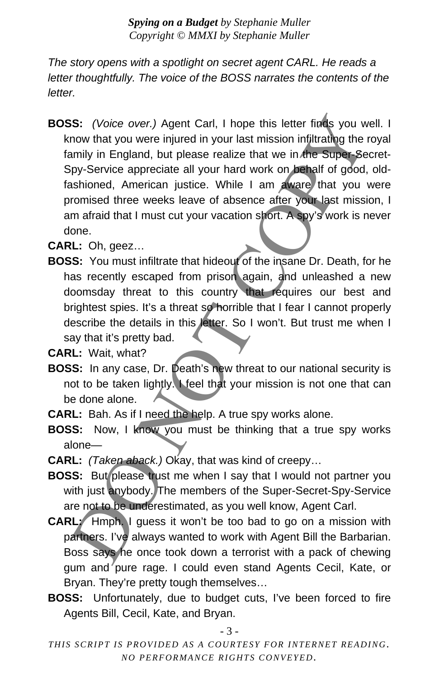*The story opens with a spotlight on secret agent CARL. He reads a letter thoughtfully. The voice of the BOSS narrates the contents of the letter.* 

**BOSS:** *(Voice over.)* Agent Carl, I hope this letter finds you well. I know that you were injured in your last mission infiltrating the royal family in England, but please realize that we in the Super-Secret-Spy-Service appreciate all your hard work on behalf of good, oldfashioned, American justice. While I am aware that you were promised three weeks leave of absence after your last mission, I am afraid that I must cut your vacation short. A spy's work is never done. SS: (Voice over.) Agent Carl, 1 hope this letter finds you w<br>
mow that you were injured in your last mission infiltrating the ramin<br>
minitiple and, but please realize that we in the super-service appreciate all you rand wo

**CARL:** Oh, geez…

**BOSS:** You must infiltrate that hideout of the insane Dr. Death, for he has recently escaped from prison again, and unleashed a new doomsday threat to this country that requires our best and brightest spies. It's a threat so horrible that I fear I cannot properly describe the details in this letter. So I won't. But trust me when I say that it's pretty bad.

**CARL:** Wait, what?

- **BOSS:** In any case, Dr. Death's new threat to our national security is not to be taken lightly. I feel that your mission is not one that can be done alone.
- **CARL:** Bah. As if I need the help. A true spy works alone.
- **BOSS:** Now, I know you must be thinking that a true spy works alone—
- **CARL:** *(Taken aback.)* Okay, that was kind of creepy…
- **BOSS:** But please trust me when I say that I would not partner you with just anybody. The members of the Super-Secret-Spy-Service are not to be underestimated, as you well know, Agent Carl.
- **CARL:** Hmph. I guess it won't be too bad to go on a mission with partners. I've always wanted to work with Agent Bill the Barbarian. Boss says he once took down a terrorist with a pack of chewing gum and pure rage. I could even stand Agents Cecil, Kate, or Bryan. They're pretty tough themselves…
- **BOSS:** Unfortunately, due to budget cuts, I've been forced to fire Agents Bill, Cecil, Kate, and Bryan.

- 3 -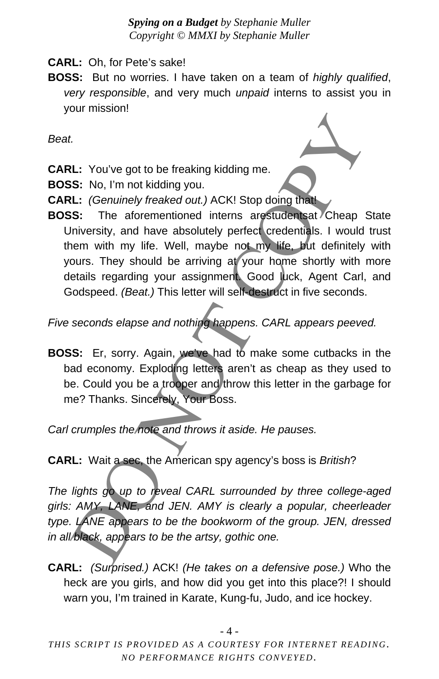**CARL:** Oh, for Pete's sake!

**BOSS:** But no worries. I have taken on a team of *highly qualified*, *very responsible*, and very much *unpaid* interns to assist you in your mission!

*Beat.* 

- **CARL:** You've got to be freaking kidding me.
- **BOSS:** No, I'm not kidding you.
- **CARL:** *(Genuinely freaked out.)* ACK! Stop doing that!
- **BOSS:** The aforementioned interns arestudentsat Cheap State University, and have absolutely perfect credentials. I would trust them with my life. Well, maybe not my life, but definitely with yours. They should be arriving at your home shortly with more details regarding your assignment. Good luck, Agent Carl, and Godspeed. *(Beat.)* This letter will self-destruct in five seconds. 1.<br>
1. You've got to be freaking kidding me.<br>
1. You've got to be freaking kidding me.<br>
1. (*Genuinely freaked out.*) ACKI Stop doing that<br>
1. (*Genuinely freaked out.*) ACKI Stop doing that<br>
1. (*Genuinely freaked out.*)

*Five seconds elapse and nothing happens. CARL appears peeved.* 

**BOSS:** Er, sorry. Again, we've had to make some cutbacks in the bad economy. Exploding letters aren't as cheap as they used to be. Could you be a trooper and throw this letter in the garbage for me? Thanks. Sincerely, Your Boss.

*Carl crumples the note and throws it aside. He pauses.* 

**CARL:** Wait a sec, the American spy agency's boss is *British*?

*The lights go up to reveal CARL surrounded by three college-aged girls: AMY, LANE, and JEN. AMY is clearly a popular, cheerleader type. LANE appears to be the bookworm of the group. JEN, dressed in all black, appears to be the artsy, gothic one.* 

**CARL:** *(Surprised.)* ACK! *(He takes on a defensive pose.)* Who the heck are you girls, and how did you get into this place?! I should warn you, I'm trained in Karate, Kung-fu, Judo, and ice hockey.

- 4 -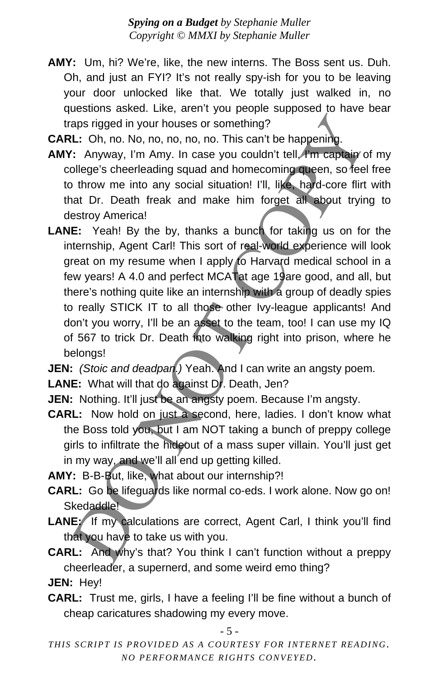- **AMY:** Um, hi? We're, like, the new interns. The Boss sent us. Duh. Oh, and just an FYI? It's not really spy-ish for you to be leaving your door unlocked like that. We totally just walked in, no questions asked. Like, aren't you people supposed to have bear traps rigged in your houses or something?
- **CARL:** Oh, no. No, no, no, no, no. This can't be happening.
- AMY: Anyway, I'm Amy. In case you couldn't tell, *A*'m captain of my college's cheerleading squad and homecoming queen, so feel free to throw me into any social situation! I'll, like, hard-core flirt with that Dr. Death freak and make him forget all about trying to destroy America!
- **LANE:** Yeah! By the by, thanks a bunch for taking us on for the internship, Agent Carl! This sort of real-world experience will look great on my resume when I apply to Harvard medical school in a few years! A 4.0 and perfect MCATat age 19are good, and all, but there's nothing quite like an internship with a group of deadly spies to really STICK IT to all those other Ivy-league applicants! And don't you worry, I'll be an asset to the team, too! I can use my IQ of 567 to trick Dr. Death into walking right into prison, where he belongs! aps rigged in your houses or something?<br>
1.1: Oh, no. No, no, no, no, no. This can't be happening.<br>
1.1: Oh, no. No, no, no, no, no. This can't be happening.<br>
1.1: Anyway, I'm Amy. In case you couldn't tell, *H*m capties i

**JEN:** *(Stoic and deadpan.)* Yeah. And I can write an angsty poem.

**LANE:** What will that do against Dr. Death, Jen?

- **JEN:** Nothing. It'll just be an angsty poem. Because I'm angsty.
- **CARL:** Now hold on just a second, here, ladies. I don't know what the Boss told you, but I am NOT taking a bunch of preppy college girls to infiltrate the hideout of a mass super villain. You'll just get in my way, and we'll all end up getting killed.

**AMY:** B-B-But, like, what about our internship?!

- **CARL:** Go be lifeguards like normal co-eds. I work alone. Now go on! Skedaddle!
- LANE: If my calculations are correct, Agent Carl, I think you'll find that you have to take us with you.
- **CARL:** And why's that? You think I can't function without a preppy cheerleader, a supernerd, and some weird emo thing?

**JEN:** Hey!

**CARL:** Trust me, girls, I have a feeling I'll be fine without a bunch of cheap caricatures shadowing my every move.

#### - 5 -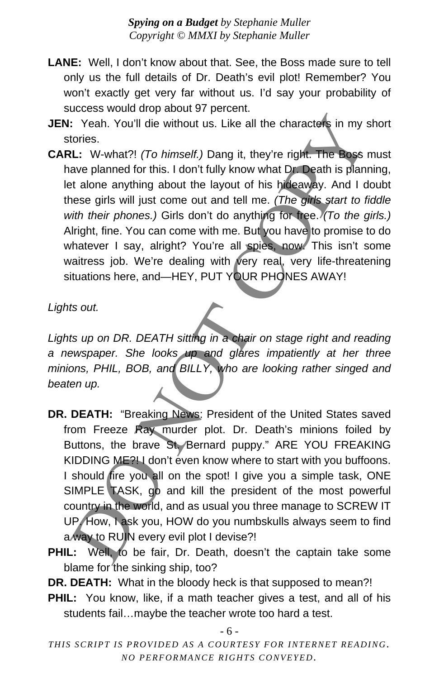- **LANE:** Well, I don't know about that. See, the Boss made sure to tell only us the full details of Dr. Death's evil plot! Remember? You won't exactly get very far without us. I'd say your probability of success would drop about 97 percent.
- **JEN:** Yeah. You'll die without us. Like all the characters in my short stories.
- **CARL:** W-what?! *(To himself.)* Dang it, they're right. The Boss must have planned for this. I don't fully know what Dr. Death is planning, let alone anything about the layout of his hideaway. And I doubt these girls will just come out and tell me. *(The girls start to fiddle with their phones.)* Girls don't do anything for free. *(To the girls.)*  Alright, fine. You can come with me. But you have to promise to do whatever I say, alright? You're all spies, now. This isn't some waitress job. We're dealing with very real, very life-threatening situations here, and—HEY, PUT YOUR PHONES AWAY! : Yeah. You'll die without us. Like all the characters in my stories.<br>Lt: W-what?! (*To himself.*) Dang it, they're right. The Boss<br>ave planned for this. I don't fully know what Dr. Death is plan<br>ave planned for this. I do

*Lights out.* 

*Lights up on DR. DEATH sitting in a chair on stage right and reading a newspaper. She looks up and glares impatiently at her three minions, PHIL, BOB, and BILLY, who are looking rather singed and beaten up.* 

- **DR. DEATH:** "Breaking News: President of the United States saved from Freeze Ray murder plot. Dr. Death's minions foiled by Buttons, the brave St. Bernard puppy." ARE YOU FREAKING KIDDING ME? I don't even know where to start with you buffoons. I should fire you all on the spot! I give you a simple task, ONE SIMPLE TASK, go and kill the president of the most powerful country in the world, and as usual you three manage to SCREW IT UP. How, I ask you, HOW do you numbskulls always seem to find a way to RUIN every evil plot I devise?!
- PHIL: Well, to be fair, Dr. Death, doesn't the captain take some blame for the sinking ship, too?

**DR. DEATH:** What in the bloody heck is that supposed to mean?!

**PHIL:** You know, like, if a math teacher gives a test, and all of his students fail…maybe the teacher wrote too hard a test.

- 6 -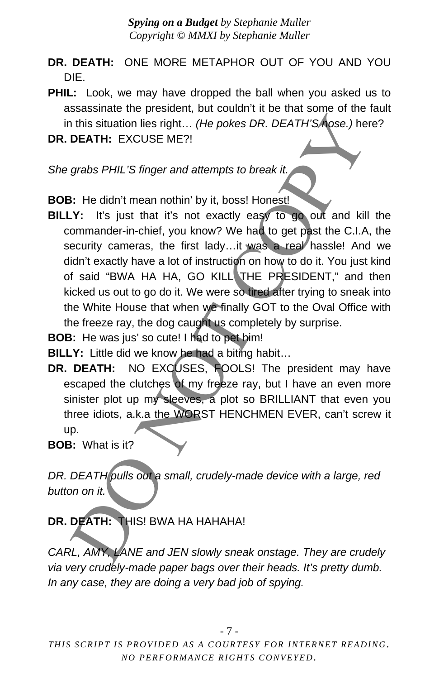- **DR. DEATH:** ONE MORE METAPHOR OUT OF YOU AND YOU DIE.
- **PHIL:** Look, we may have dropped the ball when you asked us to assassinate the president, but couldn't it be that some of the fault in this situation lies right… *(He pokes DR. DEATH'S nose.)* here?
- **DR. DEATH:** EXCUSE ME?!

*She grabs PHIL'S finger and attempts to break it.* 

**BOB:** He didn't mean nothin' by it, boss! Honest!

- **BILLY:** It's just that it's not exactly easy to go out and kill the commander-in-chief, you know? We had to get past the C.I.A, the security cameras, the first lady...it was a real hassle! And we didn't exactly have a lot of instruction on how to do it. You just kind of said "BWA HA HA, GO KILL THE PRESIDENT," and then kicked us out to go do it. We were so tired after trying to sneak into the White House that when we finally GOT to the Oval Office with the freeze ray, the dog caught us completely by surprise. It is situation lies right... (He pokes DR. DEATH'S hose.) he<br>
DEATH: EXCUSE ME?!<br>
grabs PHIL'S finger and attempts to break it.<br>
I: He didn't mean nothin' by it, boss! Honest!<br>
Y: It's just that it's not exactly easy to g
- **BOB:** He was jus' so cute! I had to pet him!

**BILLY:** Little did we know he had a biting habit...

**DR. DEATH:** NO EXCUSES, FOOLS! The president may have escaped the clutches of my freeze ray, but I have an even more sinister plot up my sleeves, a plot so BRILLIANT that even you three idiots, a.k.a the WORST HENCHMEN EVER, can't screw it up.

**BOB:** What is it?

*DR. DEATH pulls out a small, crudely-made device with a large, red button on it.* 

### **DR. DEATH:** THIS! BWA HA HAHAHA!

*CARL, AMY, LANE and JEN slowly sneak onstage. They are crudely via very crudely-made paper bags over their heads. It's pretty dumb. In any case, they are doing a very bad job of spying.*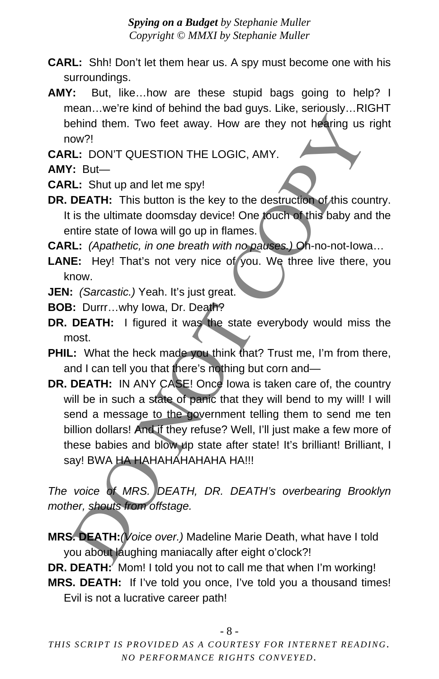- **CARL:** Shh! Don't let them hear us. A spy must become one with his surroundings.
- **AMY:** But, like…how are these stupid bags going to help? I mean…we're kind of behind the bad guys. Like, seriously…RIGHT behind them. Two feet away. How are they not hearing us right now?!
- **CARL:** DON'T QUESTION THE LOGIC, AMY.
- **AMY:** But—
- **CARL:** Shut up and let me spy!
- **DR. DEATH:** This button is the key to the destruction of this country. It is the ultimate doomsday device! One touch of this baby and the entire state of Iowa will go up in flames.
- **CARL:** *(Apathetic, in one breath with no pauses.)* Oh-no-not-Iowa…
- LANE: Hey! That's not very nice of you. We three live there, you know.
- **JEN:** *(Sarcastic.)* Yeah. It's just great.
- **BOB:** Durrr…why Iowa, Dr. Death?
- **DR. DEATH:** I figured it was the state everybody would miss the most.
- **PHIL:** What the heck made you think that? Trust me, I'm from there, and I can tell you that there's nothing but corn and—
- **DR. DEATH:** IN ANY CASE! Once lowa is taken care of, the country will be in such a state of panic that they will bend to my will! I will send a message to the government telling them to send me ten billion dollars! And if they refuse? Well, I'll just make a few more of these babies and blow up state after state! It's brilliant! Brilliant, I say! BWA HA HAHAHAHAHAHA HA!!! ehind them. Two feet away. How are they not hearing us<br>
ow?!<br>
(2. DONT QUESTION THE LOGIC, AMY.<br>
(2. But—<br>
(2. But—<br>
(2. But—<br>
(2. But—<br>
(2. But—<br>
(2. But—<br>
(2. But—<br>
(2. But—<br>
(2. But—<br>
(2. But—<br>
(2. But—<br>
(2. But—<br>
(2. G

*The voice of MRS. DEATH, DR. DEATH's overbearing Brooklyn mother, shouts from offstage.* 

**MRS. DEATH:***(Voice over.)* Madeline Marie Death, what have I told you about laughing maniacally after eight o'clock?!

**DR. DEATH:** Mom! I told you not to call me that when I'm working! **MRS. DEATH:** If I've told you once, I've told you a thousand times! Evil is not a lucrative career path!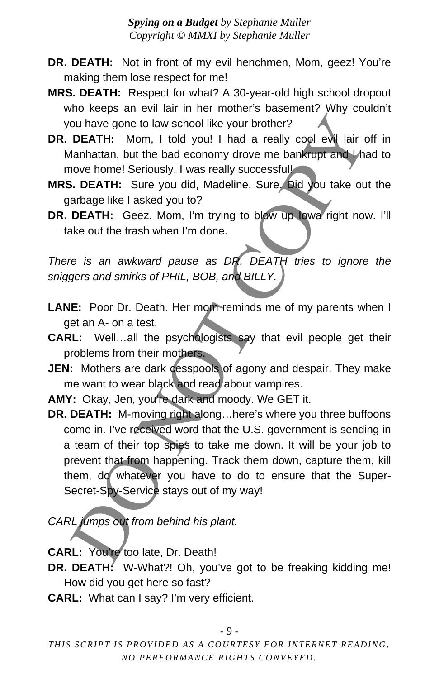- **DR. DEATH:** Not in front of my evil henchmen, Mom, geez! You're making them lose respect for me!
- **MRS. DEATH:** Respect for what? A 30-year-old high school dropout who keeps an evil lair in her mother's basement? Why couldn't you have gone to law school like your brother?
- **DR. DEATH:** Mom, I told you! I had a really cool evil lair off in Manhattan, but the bad economy drove me bankrupt and I had to move home! Seriously, I was really successful!
- **MRS. DEATH:** Sure you did, Madeline. Sure. Did you take out the garbage like I asked you to?
- **DR. DEATH:** Geez. Mom, I'm trying to blow up Iowa right now. I'll take out the trash when I'm done.

*There is an awkward pause as DR. DEATH tries to ignore the sniggers and smirks of PHIL, BOB, and BILLY.* 

- LANE: Poor Dr. Death. Her mom reminds me of my parents when I get an A- on a test.
- **CARL:** Well…all the psychologists say that evil people get their problems from their mothers.
- **JEN:** Mothers are dark cesspools of agony and despair. They make me want to wear black and read about vampires.
- **AMY:** Okay, Jen, you're dark and moody. We GET it.
- **DR. DEATH:** M-moving right along…here's where you three buffoons come in. I've received word that the U.S. government is sending in a team of their top spies to take me down. It will be your job to prevent that from happening. Track them down, capture them, kill them, do whatever you have to do to ensure that the Super-Secret-Spy-Service stays out of my way! ou have gone to law school like your brother?<br>
DEATH: Mom, I told you! I had a really cool eval lair control<br>
Manhatan, but the bad economy drove me bankrupt and the<br>
Manhatan, but the bad conomy drove me bankrupt and the<br>

*CARL jumps out from behind his plant.* 

- **CARL:** You're too late, Dr. Death!
- **DR. DEATH:** W-What?! Oh, you've got to be freaking kidding me! How did you get here so fast?
- **CARL:** What can I say? I'm very efficient.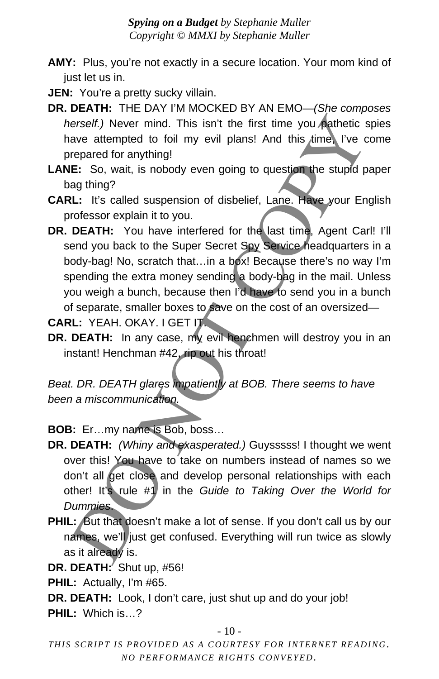- **AMY:** Plus, you're not exactly in a secure location. Your mom kind of just let us in.
- **JEN:** You're a pretty sucky villain.
- **DR. DEATH:** THE DAY I'M MOCKED BY AN EMO—*(She composes herself.)* Never mind. This isn't the first time you pathetic spies have attempted to foil my evil plans! And this time, I've come prepared for anything!
- **LANE:** So, wait, is nobody even going to question the stupid paper bag thing?
- **CARL:** It's called suspension of disbelief, Lane. Have your English professor explain it to you.
- DR. DEATH: You have interfered for the last time, Agent Carl! I'll send you back to the Super Secret Spy Service headquarters in a body-bag! No, scratch that…in a box! Because there's no way I'm spending the extra money sending a body-bag in the mail. Unless you weigh a bunch, because then I'd have to send you in a bunch of separate, smaller boxes to save on the cost of an oversized erself.) Never mind. This isn't the first time you eatheric is<br>ave attempted to foil my evil plans! And this time. I've c<br>repared for anything!<br>E: So, wait, is nobody even going to question the stupid p<br>equation<br>3 thing?<br>B

**CARL:** YEAH. OKAY. I GET IT.

**DR. DEATH:** In any case, my evil henchmen will destroy you in an instant! Henchman #42, rip out his throat!

*Beat. DR. DEATH glares impatiently at BOB. There seems to have been a miscommunication.* 

**BOB:** Er…my name is Bob, boss…

- **DR. DEATH:** *(Whiny and exasperated.)* Guysssss! I thought we went over this! You have to take on numbers instead of names so we don't all get close and develop personal relationships with each other! It's rule #1 in the *Guide to Taking Over the World for Dummies*.
- PHIL: But that doesn't make a lot of sense. If you don't call us by our names, we'll just get confused. Everything will run twice as slowly as it already is.

**DR. DEATH:** Shut up, #56!

**PHIL:** Actually, I'm #65.

**DR. DEATH:** Look, I don't care, just shut up and do your job! **PHIL:** Which is…?

 $-10-$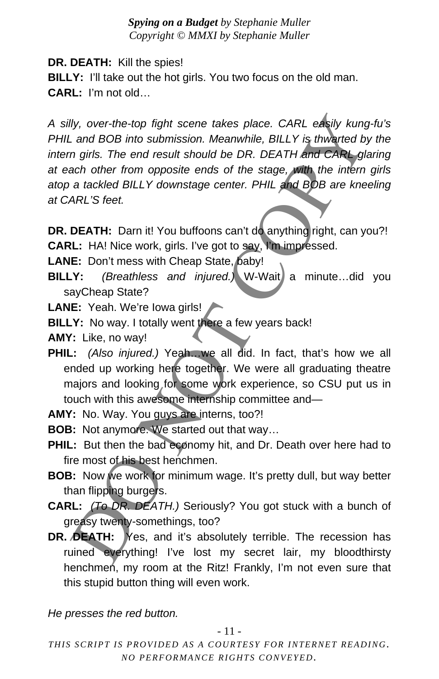**DR. DEATH:** Kill the spies!

**BILLY:** I'll take out the hot girls. You two focus on the old man. **CARL:** I'm not old…

*A silly, over-the-top fight scene takes place. CARL easily kung-fu's PHIL and BOB into submission. Meanwhile, BILLY is thwarted by the*  intern girls. The end result should be DR. DEATH and CARL glaring *at each other from opposite ends of the stage, with the intern girls atop a tackled BILLY downstage center. PHIL and BOB are kneeling at CARL'S feet.*  Ily, over-the-top fight scene takes place. CARL easily kung<br>
and BOB into submission. Meanwhile, BILLY is thwarted by<br>
and BOB into submission. Meanwhile, BILLY is thwarted by<br>
an girls. The end result should be DR. DEATH

**DR. DEATH:** Darn it! You buffoons can't do anything right, can you?! **CARL:** HA! Nice work, girls. I've got to say, I'm impressed.

- LANE: Don't mess with Cheap State, baby!
- **BILLY:** *(Breathless and injured.)* W-Wait a minute...did you sayCheap State?
- **LANE:** Yeah. We're Iowa girls!
- **BILLY:** No way. I totally went there a few years back!

**AMY:** Like, no way!

- **PHIL:** *(Also injured.)* Yeah…we all did. In fact, that's how we all ended up working here together. We were all graduating theatre majors and looking for some work experience, so CSU put us in touch with this awesome internship committee and—
- **AMY:** No. Way. You guys are interns, too?!
- **BOB:** Not anymore. We started out that way…
- **PHIL:** But then the bad economy hit, and Dr. Death over here had to fire most of his best henchmen.
- **BOB:** Now we work for minimum wage. It's pretty dull, but way better than flipping burgers.
- **CARL:** *(To DR. DEATH.)* Seriously? You got stuck with a bunch of greasy twenty-somethings, too?
- **DR. DEATH:** Yes, and it's absolutely terrible. The recession has ruined everything! I've lost my secret lair, my bloodthirsty henchmen, my room at the Ritz! Frankly, I'm not even sure that this stupid button thing will even work.

*He presses the red button.*